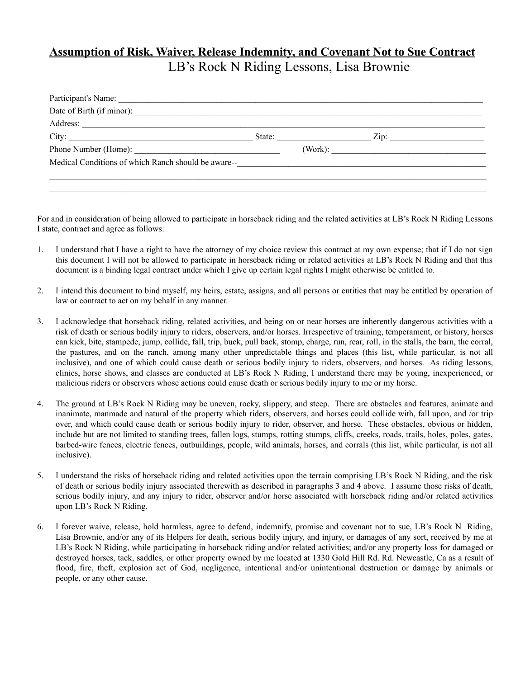## **Assumption of Risk, Waiver, Release Indemnity, and Covenant Not to Sue Contract** LB's Rock N Riding Lessons, Lisa Brownie

| Address:                                            |  |                                                        |
|-----------------------------------------------------|--|--------------------------------------------------------|
| City:                                               |  | State: Zip:                                            |
| Phone Number (Home):                                |  |                                                        |
| Medical Conditions of which Ranch should be aware-- |  | <u> 1980 - Johann Amerikaanse kommunister († 1908)</u> |
|                                                     |  |                                                        |
|                                                     |  |                                                        |

For and in consideration of being allowed to participate in horseback riding and the related activities at LB's Rock N Riding Lessons I state, contract and agree as follows:

- 1. I understand that I have a right to have the attorney of my choice review this contract at my own expense; that if I do not sign this document I will not be allowed to participate in horseback riding or related activities at LB's Rock N Riding and that this document is a binding legal contract under which I give up certain legal rights I might otherwise be entitled to.
- 2. I intend this document to bind myself, my heirs, estate, assigns, and all persons or entities that may be entitled by operation of law or contract to act on my behalf in any manner.
- 3. I acknowledge that horseback riding, related activities, and being on or near horses are inherently dangerous activities with a risk of death or serious bodily injury to riders, observers, and/or horses. Irrespective of training, temperament, or history, horses can kick, bite, stampede, jump, collide, fall, trip, buck, pull back, stomp, charge, run, rear, roll, in the stalls, the barn, the corral, the pastures, and on the ranch, among many other unpredictable things and places (this list, while particular, is not all inclusive), and one of which could cause death or serious bodily injury to riders, observers, and horses. As riding lessons, clinics, horse shows, and classes are conducted at LB's Rock N Riding, I understand there may be young, inexperienced, or malicious riders or observers whose actions could cause death or serious bodily injury to me or my horse.
- 4. The ground at LB's Rock N Riding may be uneven, rocky, slippery, and steep. There are obstacles and features, animate and inanimate, manmade and natural of the property which riders, observers, and horses could collide with, fall upon, and /or trip over, and which could cause death or serious bodily injury to rider, observer, and horse. These obstacles, obvious or hidden, include but are not limited to standing trees, fallen logs, stumps, rotting stumps, cliffs, creeks, roads, trails, holes, poles, gates, barbed-wire fences, electric fences, outbuildings, people, wild animals, horses, and corrals (this list, while particular, is not all inclusive).
- 5. I understand the risks of horseback riding and related activities upon the terrain comprising LB's Rock N Riding, and the risk of death or serious bodily injury associated therewith as described in paragraphs 3 and 4 above. I assume those risks of death, serious bodily injury, and any injury to rider, observer and/or horse associated with horseback riding and/or related activities upon LB's Rock N Riding.
- 6. I forever waive, release, hold harmless, agree to defend, indemnify, promise and covenant not to sue, LB's Rock N Riding, Lisa Brownie, and/or any of its Helpers for death, serious bodily injury, and injury, or damages of any sort, received by me at LB's Rock N Riding, while participating in horseback riding and/or related activities; and/or any property loss for damaged or destroyed horses, tack, saddles, or other property owned by me located at 1330 Gold Hill Rd. Rd. Newcastle, Ca as a result of flood, fire, theft, explosion act of God, negligence, intentional and/or unintentional destruction or damage by animals or people, or any other cause.